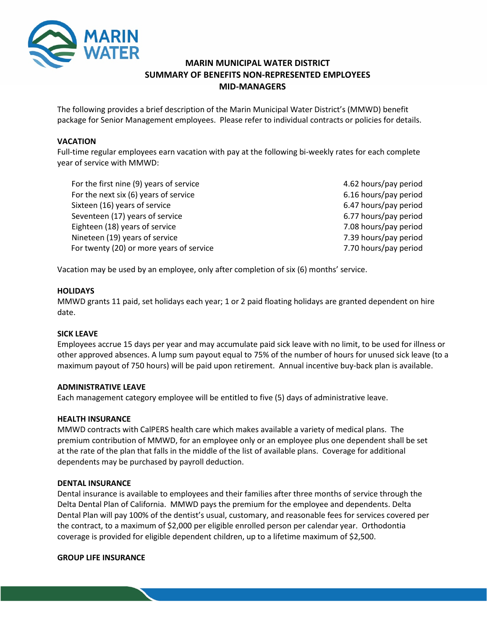

# **MARIN MUNICIPAL WATER DISTRICT SUMMARY OF BENEFITS NON-REPRESENTED EMPLOYEES MID-MANAGERS**

The following provides a brief description of the Marin Municipal Water District's (MMWD) benefit package for Senior Management employees. Please refer to individual contracts or policies for details.

### **VACATION**

Full-time regular employees earn vacation with pay at the following bi-weekly rates for each complete year of service with MMWD:

| For the first nine (9) years of service  | 4.62 hours/pay period |
|------------------------------------------|-----------------------|
| For the next six (6) years of service    | 6.16 hours/pay period |
| Sixteen (16) years of service            | 6.47 hours/pay period |
| Seventeen (17) years of service          | 6.77 hours/pay period |
| Eighteen (18) years of service           | 7.08 hours/pay period |
| Nineteen (19) years of service           | 7.39 hours/pay period |
| For twenty (20) or more years of service | 7.70 hours/pay period |

Vacation may be used by an employee, only after completion of six (6) months' service.

### **HOLIDAYS**

MMWD grants 11 paid, set holidays each year; 1 or 2 paid floating holidays are granted dependent on hire date.

### **SICK LEAVE**

Employees accrue 15 days per year and may accumulate paid sick leave with no limit, to be used for illness or other approved absences. A lump sum payout equal to 75% of the number of hours for unused sick leave (to a maximum payout of 750 hours) will be paid upon retirement. Annual incentive buy-back plan is available.

### **ADMINISTRATIVE LEAVE**

Each management category employee will be entitled to five (5) days of administrative leave.

#### **HEALTH INSURANCE**

MMWD contracts with CalPERS health care which makes available a variety of medical plans. The premium contribution of MMWD, for an employee only or an employee plus one dependent shall be set at the rate of the plan that falls in the middle of the list of available plans. Coverage for additional dependents may be purchased by payroll deduction.

#### **DENTAL INSURANCE**

Dental insurance is available to employees and their families after three months of service through the Delta Dental Plan of California. MMWD pays the premium for the employee and dependents. Delta Dental Plan will pay 100% of the dentist's usual, customary, and reasonable fees for services covered per the contract, to a maximum of \$2,000 per eligible enrolled person per calendar year. Orthodontia coverage is provided for eligible dependent children, up to a lifetime maximum of \$2,500.

#### **GROUP LIFE INSURANCE**